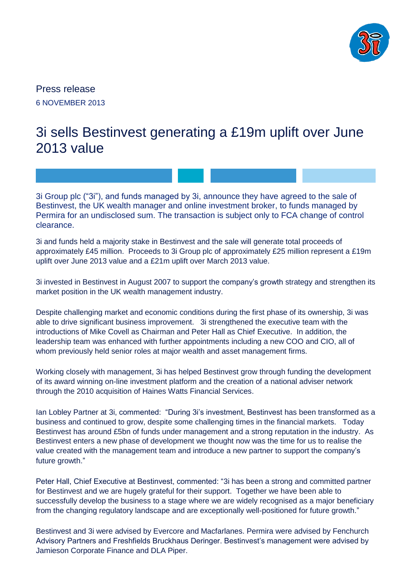

Press release 6 NOVEMBER 2013

# 3i sells Bestinvest generating a £19m uplift over June 2013 value

3i Group plc ("3i"), and funds managed by 3i, announce they have agreed to the sale of Bestinvest, the UK wealth manager and online investment broker, to funds managed by Permira for an undisclosed sum. The transaction is subject only to FCA change of control clearance.

3i and funds held a majority stake in Bestinvest and the sale will generate total proceeds of approximately £45 million. Proceeds to 3i Group plc of approximately £25 million represent a £19m uplift over June 2013 value and a £21m uplift over March 2013 value.

3i invested in Bestinvest in August 2007 to support the company's growth strategy and strengthen its market position in the UK wealth management industry.

Despite challenging market and economic conditions during the first phase of its ownership, 3i was able to drive significant business improvement. 3i strengthened the executive team with the introductions of Mike Covell as Chairman and Peter Hall as Chief Executive. In addition, the leadership team was enhanced with further appointments including a new COO and CIO, all of whom previously held senior roles at major wealth and asset management firms.

Working closely with management, 3i has helped Bestinvest grow through funding the development of its award winning on-line investment platform and the creation of a national adviser network through the 2010 acquisition of Haines Watts Financial Services.

Ian Lobley Partner at 3i, commented: "During 3i's investment, Bestinvest has been transformed as a business and continued to grow, despite some challenging times in the financial markets. Today Bestinvest has around £5bn of funds under management and a strong reputation in the industry. As Bestinvest enters a new phase of development we thought now was the time for us to realise the value created with the management team and introduce a new partner to support the company's future growth."

Peter Hall, Chief Executive at Bestinvest, commented: "3i has been a strong and committed partner for Bestinvest and we are hugely grateful for their support. Together we have been able to successfully develop the business to a stage where we are widely recognised as a major beneficiary from the changing regulatory landscape and are exceptionally well-positioned for future growth."

Bestinvest and 3i were advised by Evercore and Macfarlanes. Permira were advised by Fenchurch Advisory Partners and Freshfields Bruckhaus Deringer. Bestinvest's management were advised by Jamieson Corporate Finance and DLA Piper.